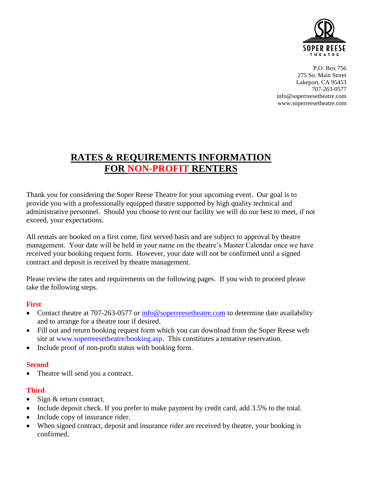

P.O. Box 756 275 So. Main Street Lakeport, CA 95453 707-263-0577 [info@soperreesetheatre.com](mailto:INFO@SOPERREESETHEATRE.COM) www.soperreesetheatre.com

# **RATES & REQUIREMENTS INFORMATION FOR NON-PROFIT RENTERS**

Thank you for considering the Soper Reese Theatre for your upcoming event. Our goal is to provide you with a professionally equipped theatre supported by high quality technical and administrative personnel. Should you choose to rent our facility we will do our best to meet, if not exceed, your expectations.

All rentals are booked on a first come, first served basis and are subject to approval by theatre management. Your date will be held in your name on the theatre's Master Calendar once we have received your booking request form. However, your date will not be confirmed until a signed contract and deposit is received by theatre management.

Please review the rates and requirements on the following pages. If you wish to proceed please take the following steps.

#### **First**

- Contact theatre at 707-263-0577 or [info@soperreesetheatre.com](mailto:info@soperreesetheatre.com) to determine date availability and to arrange for a theatre tour if desired.
- Fill out and return booking request form which you can download from the Soper Reese web site at www.soperreesetheatre/booking.asp. This constitutes a tentative reservation.
- Include proof of non-profit status with booking form.

#### **Second**

• Theatre will send you a contract.

## **Third**

- Sign & return contract.
- Include deposit check. If you prefer to make payment by credit card, add 3.5% to the total.
- Include copy of insurance rider.
- When signed contract, deposit and insurance rider are received by theatre, your booking is confirmed.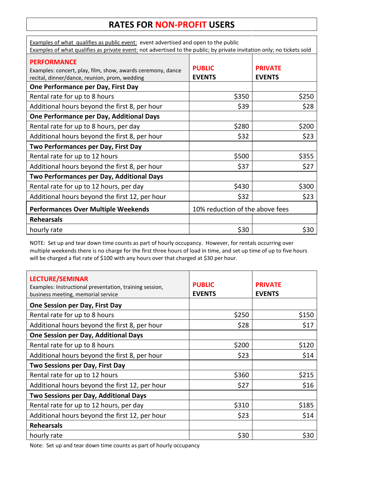## **RATES FOR NON-PROFIT USERS**

| Examples of what qualifies as public event: event advertised and open to the public<br>Examples of what qualifies as private event: not advertised to the public; by private invitation only; no tickets sold |                                 |                                 |
|---------------------------------------------------------------------------------------------------------------------------------------------------------------------------------------------------------------|---------------------------------|---------------------------------|
| <b>PERFORMANCE</b><br>Examples: concert, play, film, show, awards ceremony, dance<br>recital, dinner/dance, reunion, prom, wedding                                                                            | <b>PUBLIC</b><br><b>EVENTS</b>  | <b>PRIVATE</b><br><b>EVENTS</b> |
| One Performance per Day, First Day                                                                                                                                                                            |                                 |                                 |
| Rental rate for up to 8 hours                                                                                                                                                                                 | \$350                           | \$250                           |
| Additional hours beyond the first 8, per hour                                                                                                                                                                 | \$39                            | \$28                            |
| One Performance per Day, Additional Days                                                                                                                                                                      |                                 |                                 |
| Rental rate for up to 8 hours, per day                                                                                                                                                                        | \$280                           | \$200                           |
| Additional hours beyond the first 8, per hour                                                                                                                                                                 | \$32                            | \$23                            |
| Two Performances per Day, First Day                                                                                                                                                                           |                                 |                                 |
| Rental rate for up to 12 hours                                                                                                                                                                                | \$500                           | \$355                           |
| Additional hours beyond the first 8, per hour                                                                                                                                                                 | \$37                            | \$27                            |
| Two Performances per Day, Additional Days                                                                                                                                                                     |                                 |                                 |
| Rental rate for up to 12 hours, per day                                                                                                                                                                       | \$430                           | \$300                           |
| Additional hours beyond the first 12, per hour                                                                                                                                                                | \$32                            | \$23                            |
| <b>Performances Over Multiple Weekends</b>                                                                                                                                                                    | 10% reduction of the above fees |                                 |
| <b>Rehearsals</b>                                                                                                                                                                                             |                                 |                                 |
| hourly rate                                                                                                                                                                                                   | \$30                            | \$30                            |

NOTE: Set up and tear down time counts as part of hourly occupancy. However, for rentals occurring over multiple weekends there is no charge for the first three hours of load in time, and set up time of up to five hours will be charged a flat rate of \$100 with any hours over that charged at \$30 per hour.

| <b>LECTURE/SEMINAR</b><br>Examples: Instructional presentation, training session,<br>business meeting, memorial service | <b>PUBLIC</b><br><b>EVENTS</b> | <b>PRIVATE</b><br><b>EVENTS</b> |
|-------------------------------------------------------------------------------------------------------------------------|--------------------------------|---------------------------------|
| <b>One Session per Day, First Day</b>                                                                                   |                                |                                 |
| Rental rate for up to 8 hours                                                                                           | \$250                          | \$150                           |
| Additional hours beyond the first 8, per hour                                                                           | \$28                           | \$17                            |
| One Session per Day, Additional Days                                                                                    |                                |                                 |
| Rental rate for up to 8 hours                                                                                           | \$200                          | \$120                           |
| Additional hours beyond the first 8, per hour                                                                           | \$23                           | \$14                            |
| Two Sessions per Day, First Day                                                                                         |                                |                                 |
| Rental rate for up to 12 hours                                                                                          | \$360                          | \$215                           |
| Additional hours beyond the first 12, per hour                                                                          | \$27                           | \$16                            |
| Two Sessions per Day, Additional Days                                                                                   |                                |                                 |
| Rental rate for up to 12 hours, per day                                                                                 | \$310                          | \$185                           |
| Additional hours beyond the first 12, per hour                                                                          | \$23                           | \$14                            |
| <b>Rehearsals</b>                                                                                                       |                                |                                 |
| hourly rate                                                                                                             | \$30                           | \$30                            |

Note: Set up and tear down time counts as part of hourly occupancy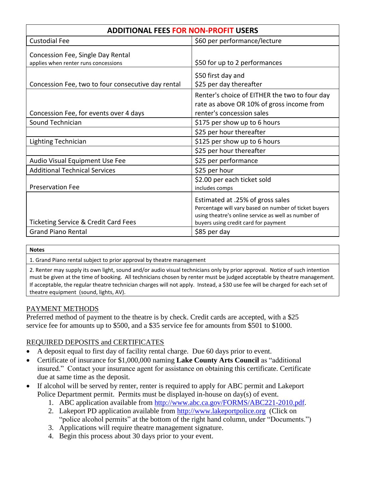| <b>ADDITIONAL FEES FOR NON-PROFIT USERS</b>                                  |                                                                                                                                                                                                          |  |
|------------------------------------------------------------------------------|----------------------------------------------------------------------------------------------------------------------------------------------------------------------------------------------------------|--|
| <b>Custodial Fee</b>                                                         | \$60 per performance/lecture                                                                                                                                                                             |  |
| Concession Fee, Single Day Rental<br>applies when renter runs concessions    | \$50 for up to 2 performances                                                                                                                                                                            |  |
| Concession Fee, two to four consecutive day rental                           | \$50 first day and<br>\$25 per day thereafter                                                                                                                                                            |  |
| Concession Fee, for events over 4 days                                       | Renter's choice of EITHER the two to four day<br>rate as above OR 10% of gross income from<br>renter's concession sales                                                                                  |  |
| Sound Technician                                                             | \$175 per show up to 6 hours                                                                                                                                                                             |  |
|                                                                              | \$25 per hour thereafter                                                                                                                                                                                 |  |
| Lighting Technician                                                          | \$125 per show up to 6 hours                                                                                                                                                                             |  |
|                                                                              | \$25 per hour thereafter                                                                                                                                                                                 |  |
| Audio Visual Equipment Use Fee                                               | \$25 per performance                                                                                                                                                                                     |  |
| <b>Additional Technical Services</b>                                         | \$25 per hour                                                                                                                                                                                            |  |
| <b>Preservation Fee</b>                                                      | \$2.00 per each ticket sold<br>includes comps                                                                                                                                                            |  |
| <b>Ticketing Service &amp; Credit Card Fees</b><br><b>Grand Piano Rental</b> | Estimated at .25% of gross sales<br>Percentage will vary based on number of ticket buyers<br>using theatre's online service as well as number of<br>buyers using credit card for payment<br>\$85 per day |  |

#### **Notes**

1. Grand Piano rental subject to prior approval by theatre management

2. Renter may supply its own light, sound and/or audio visual technicians only by prior approval. Notice of such intention must be given at the time of booking. All technicians chosen by renter must be judged acceptable by theatre management. If acceptable, the regular theatre technician charges will not apply. Instead, a \$30 use fee will be charged for each set of theatre equipment (sound, lights, AV).

#### PAYMENT METHODS

Preferred method of payment to the theatre is by check. Credit cards are accepted, with a \$25 service fee for amounts up to \$500, and a \$35 service fee for amounts from \$501 to \$1000.

#### REQUIRED DEPOSITS and CERTIFICATES

- A deposit equal to first day of facility rental charge. Due 60 days prior to event.
- Certificate of insurance for \$1,000,000 naming **Lake County Arts Council** as "additional insured." Contact your insurance agent for assistance on obtaining this certificate. Certificate due at same time as the deposit.
- If alcohol will be served by renter, renter is required to apply for ABC permit and Lakeport Police Department permit. Permits must be displayed in-house on day(s) of event.
	- 1. ABC application available from [http://www.abc.ca.gov/FORMS/ABC221-2010.pdf.](http://www.abc.ca.gov/FORMS/ABC221-2010.pdf)
	- 2. Lakeport PD application available from [http://www.lakeportpolice.org](http://www.lakeportpolice.org/) (Click on "police alcohol permits" at the bottom of the right hand column, under "Documents.")
	- 3. Applications will require theatre management signature.
	- 4. Begin this process about 30 days prior to your event.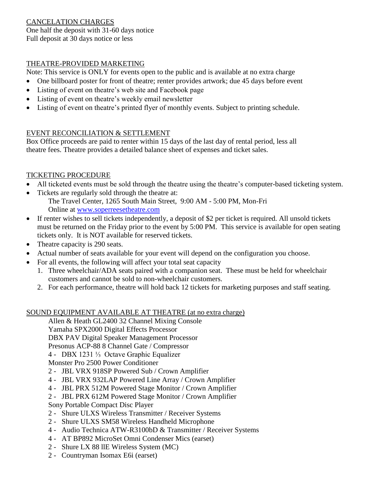#### CANCELATION CHARGES One half the deposit with 31-60 days notice Full deposit at 30 days notice or less

### THEATRE-PROVIDED MARKETING

Note: This service is ONLY for events open to the public and is available at no extra charge

- One billboard poster for front of theatre; renter provides artwork; due 45 days before event
- Listing of event on theatre's web site and Facebook page
- Listing of event on theatre's weekly email newsletter
- Listing of event on theatre's printed flyer of monthly events. Subject to printing schedule.

#### EVENT RECONCILIATION & SETTLEMENT

Box Office proceeds are paid to renter within 15 days of the last day of rental period, less all theatre fees. Theatre provides a detailed balance sheet of expenses and ticket sales.

#### TICKETING PROCEDURE

- All ticketed events must be sold through the theatre using the theatre's computer-based ticketing system.
- Tickets are regularly sold through the theatre at: The Travel Center, 1265 South Main Street, 9:00 AM - 5:00 PM, Mon-Fri Online at [www.soperreesetheatre.com](http://www.soperreesetheatre.com/)
- If renter wishes to sell tickets independently, a deposit of \$2 per ticket is required. All unsold tickets must be returned on the Friday prior to the event by 5:00 PM. This service is available for open seating tickets only. It is NOT available for reserved tickets.
- Theatre capacity is 290 seats.
- Actual number of seats available for your event will depend on the configuration you choose.
- For all events, the following will affect your total seat capacity
	- 1. Three wheelchair/ADA seats paired with a companion seat. These must be held for wheelchair customers and cannot be sold to non-wheelchair customers.
	- 2. For each performance, theatre will hold back 12 tickets for marketing purposes and staff seating.

## SOUND EQUIPMENT AVAILABLE AT THEATRE (at no extra charge)

Allen & Heath GL2400 32 Channel Mixing Console Yamaha SPX2000 Digital Effects Processor

DBX PAV Digital Speaker Management Processor

Presonus ACP-88 8 Channel Gate / Compressor

4 - DBX 1231 ⅓ Octave Graphic Equalizer

Monster Pro 2500 Power Conditioner

- 2 JBL VRX 918SP Powered Sub / Crown Amplifier
- 4 JBL VRX 932LAP Powered Line Array / Crown Amplifier
- 4 JBL PRX 512M Powered Stage Monitor / Crown Amplifier
- 2 JBL PRX 612M Powered Stage Monitor / Crown Amplifier
- Sony Portable Compact Disc Player
- 2 Shure ULXS Wireless Transmitter / Receiver Systems
- 2 Shure ULXS SM58 Wireless Handheld Microphone
- 4 Audio Technica ATW-R3100bD & Transmitter / Receiver Systems
- 4 AT BP892 MicroSet Omni Condenser Mics (earset)
- 2 Shure LX 88 llE Wireless System (MC)
- 2 Countryman Isomax E6i (earset)